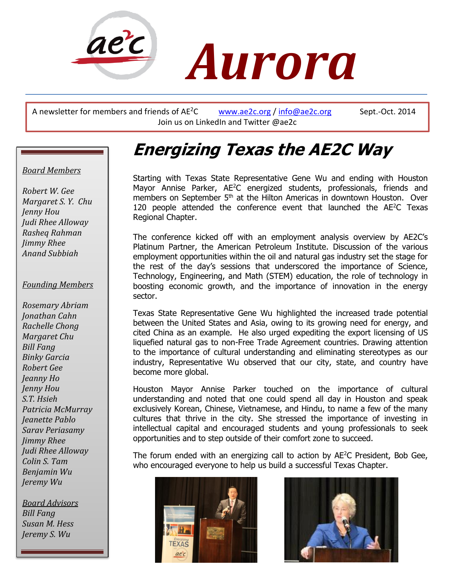

A newsletter for members and friends of  $AE^2C$  [www.ae2c.org](http://www.ae2c.org/) / [info@ae2c.org](mailto:info@ae2c.org) Sept.-Oct. 2014 Join us on LinkedIn and Twitter @ae2c

# **Energizing Texas the AE2C Way**

## *Board Members*

*Robert W. Gee Margaret S. Y. Chu Jenny Hou Judi Rhee Alloway Rasheq Rahman Jimmy Rhee Anand Subbiah*

#### *Founding Members*

*Rosemary Abriam Jonathan Cahn Rachelle Chong Margaret Chu Bill Fang Binky Garcia Robert Gee Jeanny Ho Jenny Hou S.T. Hsieh Patricia McMurray Jeanette Pablo Sarav Periasamy Jimmy Rhee Judi Rhee Alloway Colin S. Tam Benjamin Wu Jeremy Wu*

 *Bill Fang Board Advisors Susan M. Hess Jeremy S. Wu*

Starting with Texas State Representative Gene Wu and ending with Houston Mayor Annise Parker, AE<sup>2</sup>C energized students, professionals, friends and members on September 5<sup>th</sup> at the Hilton Americas in downtown Houston. Over 120 people attended the conference event that launched the AE<sup>2</sup>C Texas Regional Chapter.

The conference kicked off with an employment analysis overview by AE2C's Platinum Partner, the American Petroleum Institute. Discussion of the various employment opportunities within the oil and natural gas industry set the stage for the rest of the day's sessions that underscored the importance of Science, Technology, Engineering, and Math (STEM) education, the role of technology in boosting economic growth, and the importance of innovation in the energy sector.

Texas State Representative Gene Wu highlighted the increased trade potential between the United States and Asia, owing to its growing need for energy, and cited China as an example. He also urged expediting the export licensing of US liquefied natural gas to non-Free Trade Agreement countries. Drawing attention to the importance of cultural understanding and eliminating stereotypes as our industry, Representative Wu observed that our city, state, and country have become more global.

Houston Mayor Annise Parker touched on the importance of cultural understanding and noted that one could spend all day in Houston and speak exclusively Korean, Chinese, Vietnamese, and Hindu, to name a few of the many cultures that thrive in the city. She stressed the importance of investing in intellectual capital and encouraged students and young professionals to seek opportunities and to step outside of their comfort zone to succeed.

The forum ended with an energizing call to action by AE<sup>2</sup>C President, Bob Gee, who encouraged everyone to help us build a successful Texas Chapter.